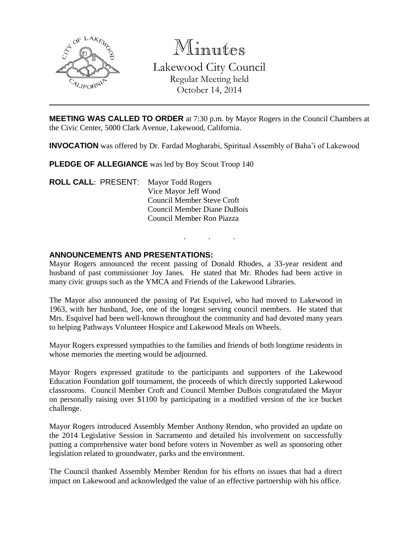

Minutes Lakewood City Council Regular Meeting held October 14, 2014

**MEETING WAS CALLED TO ORDER** at 7:30 p.m. by Mayor Rogers in the Council Chambers at the Civic Center, 5000 Clark Avenue, Lakewood, California.

**INVOCATION** was offered by Dr. Fardad Mogharabi, Spiritual Assembly of Baha'i of Lakewood

**PLEDGE OF ALLEGIANCE** was led by Boy Scout Troop 140

**ROLL CALL**: PRESENT: Mayor Todd Rogers Vice Mayor Jeff Wood Council Member Steve Croft Council Member Diane DuBois Council Member Ron Piazza

### **ANNOUNCEMENTS AND PRESENTATIONS:**

Mayor Rogers announced the recent passing of Donald Rhodes, a 33-year resident and husband of past commissioner Joy Janes. He stated that Mr. Rhodes had been active in many civic groups such as the YMCA and Friends of the Lakewood Libraries.

. . .

The Mayor also announced the passing of Pat Esquivel, who had moved to Lakewood in 1963, with her husband, Joe, one of the longest serving council members. He stated that Mrs. Esquivel had been well-known throughout the community and had devoted many years to helping Pathways Volunteer Hospice and Lakewood Meals on Wheels.

Mayor Rogers expressed sympathies to the families and friends of both longtime residents in whose memories the meeting would be adjourned.

Mayor Rogers expressed gratitude to the participants and supporters of the Lakewood Education Foundation golf tournament, the proceeds of which directly supported Lakewood classrooms. Council Member Croft and Council Member DuBois congratulated the Mayor on personally raising over \$1100 by participating in a modified version of the ice bucket challenge.

Mayor Rogers introduced Assembly Member Anthony Rendon, who provided an update on the 2014 Legislative Session in Sacramento and detailed his involvement on successfully putting a comprehensive water bond before voters in November as well as sponsoring other legislation related to groundwater, parks and the environment.

The Council thanked Assembly Member Rendon for his efforts on issues that had a direct impact on Lakewood and acknowledged the value of an effective partnership with his office.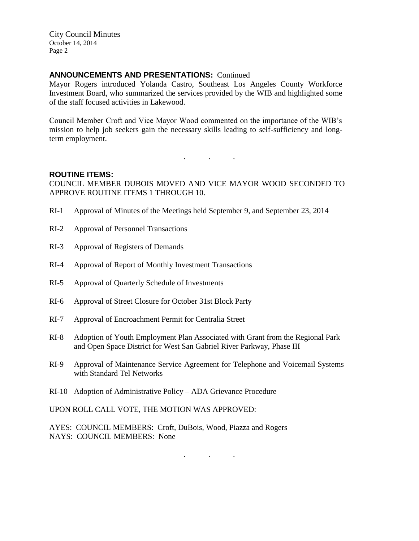### **ANNOUNCEMENTS AND PRESENTATIONS:** Continued

Mayor Rogers introduced Yolanda Castro, Southeast Los Angeles County Workforce Investment Board, who summarized the services provided by the WIB and highlighted some of the staff focused activities in Lakewood.

Council Member Croft and Vice Mayor Wood commented on the importance of the WIB's mission to help job seekers gain the necessary skills leading to self-sufficiency and longterm employment.

### **ROUTINE ITEMS:**

COUNCIL MEMBER DUBOIS MOVED AND VICE MAYOR WOOD SECONDED TO APPROVE ROUTINE ITEMS 1 THROUGH 10.

. . .

- RI-1 Approval of Minutes of the Meetings held September 9, and September 23, 2014
- RI-2 Approval of Personnel Transactions
- RI-3 Approval of Registers of Demands
- RI-4 Approval of Report of Monthly Investment Transactions
- RI-5 Approval of Quarterly Schedule of Investments
- RI-6 Approval of Street Closure for October 31st Block Party
- RI-7 Approval of Encroachment Permit for Centralia Street
- RI-8 Adoption of Youth Employment Plan Associated with Grant from the Regional Park and Open Space District for West San Gabriel River Parkway, Phase III
- RI-9 Approval of Maintenance Service Agreement for Telephone and Voicemail Systems with Standard Tel Networks
- RI-10 Adoption of Administrative Policy ADA Grievance Procedure

UPON ROLL CALL VOTE, THE MOTION WAS APPROVED:

AYES: COUNCIL MEMBERS: Croft, DuBois, Wood, Piazza and Rogers NAYS: COUNCIL MEMBERS: None

. . .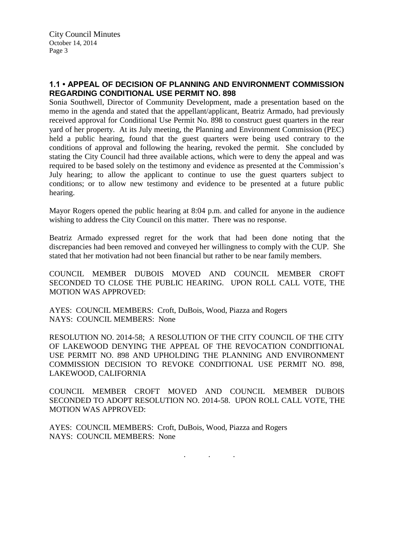# **1.1 • APPEAL OF DECISION OF PLANNING AND ENVIRONMENT COMMISSION REGARDING CONDITIONAL USE PERMIT NO. 898**

Sonia Southwell, Director of Community Development, made a presentation based on the memo in the agenda and stated that the appellant/applicant, Beatriz Armado, had previously received approval for Conditional Use Permit No. 898 to construct guest quarters in the rear yard of her property. At its July meeting, the Planning and Environment Commission (PEC) held a public hearing, found that the guest quarters were being used contrary to the conditions of approval and following the hearing, revoked the permit. She concluded by stating the City Council had three available actions, which were to deny the appeal and was required to be based solely on the testimony and evidence as presented at the Commission's July hearing; to allow the applicant to continue to use the guest quarters subject to conditions; or to allow new testimony and evidence to be presented at a future public hearing.

Mayor Rogers opened the public hearing at 8:04 p.m. and called for anyone in the audience wishing to address the City Council on this matter. There was no response.

Beatriz Armado expressed regret for the work that had been done noting that the discrepancies had been removed and conveyed her willingness to comply with the CUP. She stated that her motivation had not been financial but rather to be near family members.

COUNCIL MEMBER DUBOIS MOVED AND COUNCIL MEMBER CROFT SECONDED TO CLOSE THE PUBLIC HEARING. UPON ROLL CALL VOTE, THE MOTION WAS APPROVED:

AYES: COUNCIL MEMBERS: Croft, DuBois, Wood, Piazza and Rogers NAYS: COUNCIL MEMBERS: None

RESOLUTION NO. 2014-58; A RESOLUTION OF THE CITY COUNCIL OF THE CITY OF LAKEWOOD DENYING THE APPEAL OF THE REVOCATION CONDITIONAL USE PERMIT NO. 898 AND UPHOLDING THE PLANNING AND ENVIRONMENT COMMISSION DECISION TO REVOKE CONDITIONAL USE PERMIT NO. 898, LAKEWOOD, CALIFORNIA

COUNCIL MEMBER CROFT MOVED AND COUNCIL MEMBER DUBOIS SECONDED TO ADOPT RESOLUTION NO. 2014-58. UPON ROLL CALL VOTE, THE MOTION WAS APPROVED:

AYES: COUNCIL MEMBERS: Croft, DuBois, Wood, Piazza and Rogers NAYS: COUNCIL MEMBERS: None

. . .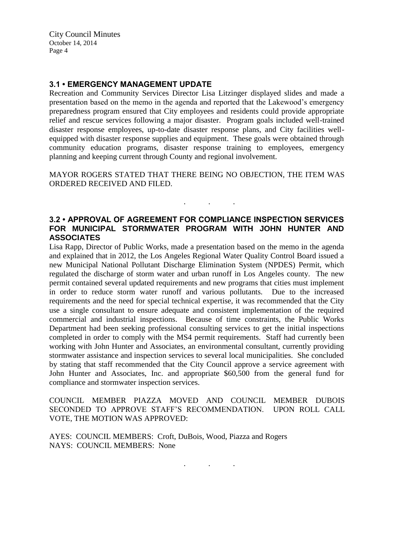### **3.1 • EMERGENCY MANAGEMENT UPDATE**

Recreation and Community Services Director Lisa Litzinger displayed slides and made a presentation based on the memo in the agenda and reported that the Lakewood's emergency preparedness program ensured that City employees and residents could provide appropriate relief and rescue services following a major disaster. Program goals included well-trained disaster response employees, up-to-date disaster response plans, and City facilities wellequipped with disaster response supplies and equipment. These goals were obtained through community education programs, disaster response training to employees, emergency planning and keeping current through County and regional involvement.

MAYOR ROGERS STATED THAT THERE BEING NO OBJECTION, THE ITEM WAS ORDERED RECEIVED AND FILED.

. . .

# **3.2 • APPROVAL OF AGREEMENT FOR COMPLIANCE INSPECTION SERVICES FOR MUNICIPAL STORMWATER PROGRAM WITH JOHN HUNTER AND ASSOCIATES**

Lisa Rapp, Director of Public Works, made a presentation based on the memo in the agenda and explained that in 2012, the Los Angeles Regional Water Quality Control Board issued a new Municipal National Pollutant Discharge Elimination System (NPDES) Permit, which regulated the discharge of storm water and urban runoff in Los Angeles county. The new permit contained several updated requirements and new programs that cities must implement in order to reduce storm water runoff and various pollutants. Due to the increased requirements and the need for special technical expertise, it was recommended that the City use a single consultant to ensure adequate and consistent implementation of the required commercial and industrial inspections. Because of time constraints, the Public Works Department had been seeking professional consulting services to get the initial inspections completed in order to comply with the MS4 permit requirements. Staff had currently been working with John Hunter and Associates, an environmental consultant, currently providing stormwater assistance and inspection services to several local municipalities. She concluded by stating that staff recommended that the City Council approve a service agreement with John Hunter and Associates, Inc. and appropriate \$60,500 from the general fund for compliance and stormwater inspection services.

COUNCIL MEMBER PIAZZA MOVED AND COUNCIL MEMBER DUBOIS SECONDED TO APPROVE STAFF'S RECOMMENDATION. UPON ROLL CALL VOTE, THE MOTION WAS APPROVED:

. . .

AYES: COUNCIL MEMBERS: Croft, DuBois, Wood, Piazza and Rogers NAYS: COUNCIL MEMBERS: None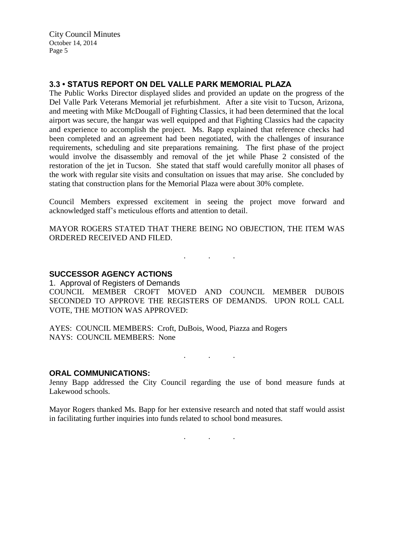### **3.3 • STATUS REPORT ON DEL VALLE PARK MEMORIAL PLAZA**

The Public Works Director displayed slides and provided an update on the progress of the Del Valle Park Veterans Memorial jet refurbishment. After a site visit to Tucson, Arizona, and meeting with Mike McDougall of Fighting Classics, it had been determined that the local airport was secure, the hangar was well equipped and that Fighting Classics had the capacity and experience to accomplish the project. Ms. Rapp explained that reference checks had been completed and an agreement had been negotiated, with the challenges of insurance requirements, scheduling and site preparations remaining. The first phase of the project would involve the disassembly and removal of the jet while Phase 2 consisted of the restoration of the jet in Tucson. She stated that staff would carefully monitor all phases of the work with regular site visits and consultation on issues that may arise. She concluded by stating that construction plans for the Memorial Plaza were about 30% complete.

Council Members expressed excitement in seeing the project move forward and acknowledged staff's meticulous efforts and attention to detail.

MAYOR ROGERS STATED THAT THERE BEING NO OBJECTION, THE ITEM WAS ORDERED RECEIVED AND FILED.

. . .

### **SUCCESSOR AGENCY ACTIONS**

1. Approval of Registers of Demands COUNCIL MEMBER CROFT MOVED AND COUNCIL MEMBER DUBOIS SECONDED TO APPROVE THE REGISTERS OF DEMANDS. UPON ROLL CALL VOTE, THE MOTION WAS APPROVED:

AYES: COUNCIL MEMBERS: Croft, DuBois, Wood, Piazza and Rogers NAYS: COUNCIL MEMBERS: None

 $\mathcal{L}$  . The set of the  $\mathcal{L}$ 

#### **ORAL COMMUNICATIONS:**

Jenny Bapp addressed the City Council regarding the use of bond measure funds at Lakewood schools.

Mayor Rogers thanked Ms. Bapp for her extensive research and noted that staff would assist in facilitating further inquiries into funds related to school bond measures.

. . .